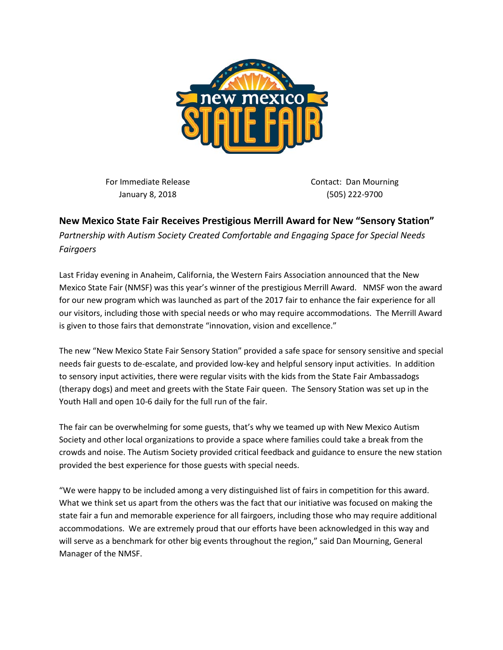

For Immediate Release January 8, 2018

Contact: Dan Mourning (505) 222-9700

## **New Mexico State Fair Receives Prestigious Merrill Award for New "Sensory Station"**

*Partnership with Autism Society Created Comfortable and Engaging Space for Special Needs Fairgoers*

Last Friday evening in Anaheim, California, the Western Fairs Association announced that the New Mexico State Fair (NMSF) was this year's winner of the prestigious Merrill Award. NMSF won the award for our new program which was launched as part of the 2017 fair to enhance the fair experience for all our visitors, including those with special needs or who may require accommodations. The Merrill Award is given to those fairs that demonstrate "innovation, vision and excellence."

The new "New Mexico State Fair Sensory Station" provided a safe space for sensory sensitive and special needs fair guests to de-escalate, and provided low-key and helpful sensory input activities. In addition to sensory input activities, there were regular visits with the kids from the State Fair Ambassadogs (therapy dogs) and meet and greets with the State Fair queen. The Sensory Station was set up in the Youth Hall and open 10-6 daily for the full run of the fair.

The fair can be overwhelming for some guests, that's why we teamed up with New Mexico Autism Society and other local organizations to provide a space where families could take a break from the crowds and noise. The Autism Society provided critical feedback and guidance to ensure the new station provided the best experience for those guests with special needs.

"We were happy to be included among a very distinguished list of fairs in competition for this award. What we think set us apart from the others was the fact that our initiative was focused on making the state fair a fun and memorable experience for all fairgoers, including those who may require additional accommodations. We are extremely proud that our efforts have been acknowledged in this way and will serve as a benchmark for other big events throughout the region," said Dan Mourning, General Manager of the NMSF.